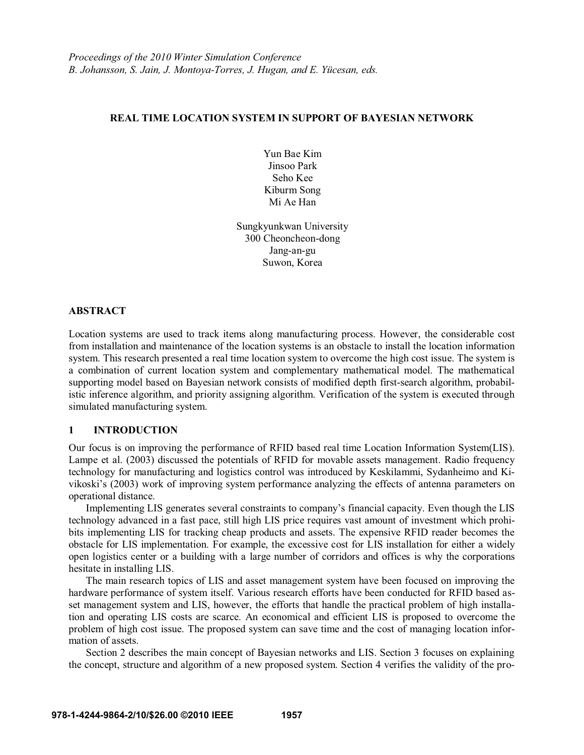## **REAL TIME LOCATION SYSTEM IN SUPPORT OF BAYESIAN NETWORK**

Yun Bae Kim Jinsoo Park Seho Kee Kiburm Song Mi Ae Han

Sungkyunkwan University 300 Cheoncheon-dong Jang-an-gu Suwon, Korea

## **ABSTRACT**

Location systems are used to track items along manufacturing process. However, the considerable cost from installation and maintenance of the location systems is an obstacle to install the location information system. This research presented a real time location system to overcome the high cost issue. The system is a combination of current location system and complementary mathematical model. The mathematical supporting model based on Bayesian network consists of modified depth first-search algorithm, probabilistic inference algorithm, and priority assigning algorithm. Verification of the system is executed through simulated manufacturing system.

## **1 INTRODUCTION**

Our focus is on improving the performance of RFID based real time Location Information System(LIS). Lampe et al. (2003) discussed the potentials of RFID for movable assets management. Radio frequency technology for manufacturing and logistics control was introduced by Keskilammi, Sydanheimo and Kivikoski's (2003) work of improving system performance analyzing the effects of antenna parameters on operational distance.

Implementing LIS generates several constraints to company's financial capacity. Even though the LIS technology advanced in a fast pace, still high LIS price requires vast amount of investment which prohibits implementing LIS for tracking cheap products and assets. The expensive RFID reader becomes the obstacle for LIS implementation. For example, the excessive cost for LIS installation for either a widely open logistics center or a building with a large number of corridors and offices is why the corporations hesitate in installing LIS.

The main research topics of LIS and asset management system have been focused on improving the hardware performance of system itself. Various research efforts have been conducted for RFID based asset management system and LIS, however, the efforts that handle the practical problem of high installation and operating LIS costs are scarce. An economical and efficient LIS is proposed to overcome the problem of high cost issue. The proposed system can save time and the cost of managing location information of assets.

Section 2 describes the main concept of Bayesian networks and LIS. Section 3 focuses on explaining the concept, structure and algorithm of a new proposed system. Section 4 verifies the validity of the pro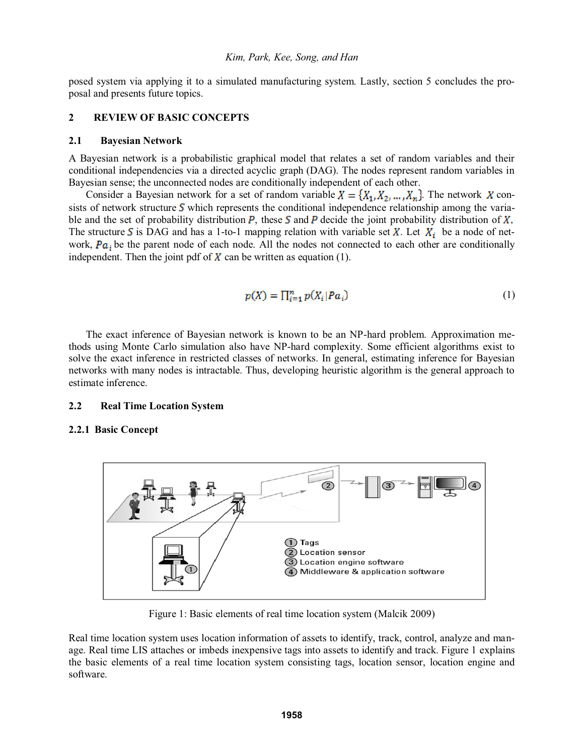posed system via applying it to a simulated manufacturing system. Lastly, section 5 concludes the proposal and presents future topics.

# **2 REVIEW OF BASIC CONCEPTS**

#### **2.1 Bayesian Network**

A Bayesian network is a probabilistic graphical model that relates a set of random variables and their conditional independencies via a directed acyclic graph (DAG). The nodes represent random variables in Bayesian sense; the unconnected nodes are conditionally independent of each other.

Consider a Bayesian network for a set of random variable  $X = \{X_1, X_2, ..., X_n\}$ . The network X consists of network structure  $S$  which represents the conditional independence relationship among the variable and the set of probability distribution  $P$ , these  $S$  and  $P$  decide the joint probability distribution of The structure S is DAG and has a 1-to-1 mapping relation with variable set X. Let  $X_i$  be a node of network,  $Pa_i$  be the parent node of each node. All the nodes not connected to each other are conditionally independent. Then the joint pdf of  $\chi$  can be written as equation (1).

$$
p(X) = \prod_{i=1}^{n} p(X_i | Pa_i)
$$
 (1)

The exact inference of Bayesian network is known to be an NP-hard problem. Approximation methods using Monte Carlo simulation also have NP-hard complexity. Some efficient algorithms exist to solve the exact inference in restricted classes of networks. In general, estimating inference for Bayesian networks with many nodes is intractable. Thus, developing heuristic algorithm is the general approach to estimate inference.

## **2.2 Real Time Location System**

## **2.2.1 Basic Concept**



Figure 1: Basic elements of real time location system (Malcik 2009)

Real time location system uses location information of assets to identify, track, control, analyze and manage. Real time LIS attaches or imbeds inexpensive tags into assets to identify and track. Figure 1 explains the basic elements of a real time location system consisting tags, location sensor, location engine and software.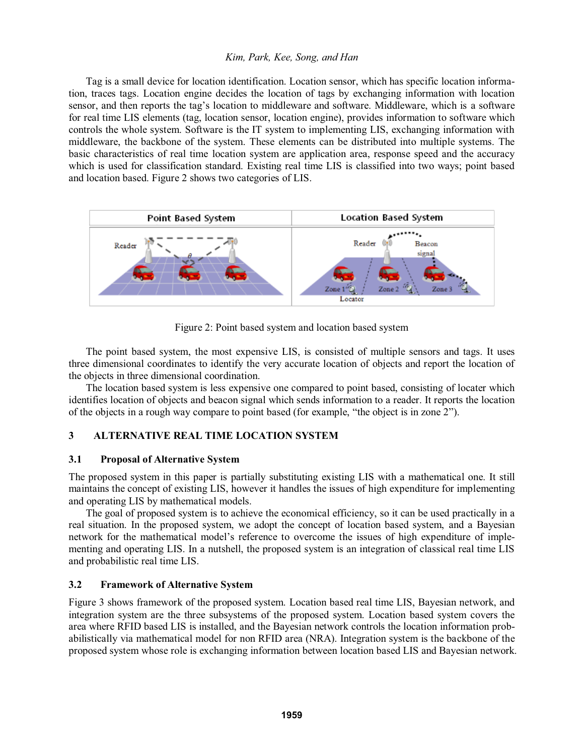## *Kim, Park, Kee, Song, and Han*

Tag is a small device for location identification. Location sensor, which has specific location information, traces tags. Location engine decides the location of tags by exchanging information with location sensor, and then reports the tag's location to middleware and software. Middleware, which is a software for real time LIS elements (tag, location sensor, location engine), provides information to software which controls the whole system. Software is the IT system to implementing LIS, exchanging information with middleware, the backbone of the system. These elements can be distributed into multiple systems. The basic characteristics of real time location system are application area, response speed and the accuracy which is used for classification standard. Existing real time LIS is classified into two ways; point based and location based. Figure 2 shows two categories of LIS.



Figure 2: Point based system and location based system

The point based system, the most expensive LIS, is consisted of multiple sensors and tags. It uses three dimensional coordinates to identify the very accurate location of objects and report the location of the objects in three dimensional coordination.

The location based system is less expensive one compared to point based, consisting of locater which identifies location of objects and beacon signal which sends information to a reader. It reports the location of the objects in a rough way compare to point based (for example, "the object is in zone  $2$ ").

# **3 ALTERNATIVE REAL TIME LOCATION SYSTEM**

# **3.1 Proposal of Alternative System**

The proposed system in this paper is partially substituting existing LIS with a mathematical one. It still maintains the concept of existing LIS, however it handles the issues of high expenditure for implementing and operating LIS by mathematical models.

The goal of proposed system is to achieve the economical efficiency, so it can be used practically in a real situation. In the proposed system, we adopt the concept of location based system, and a Bayesian network for the mathematical model's reference to overcome the issues of high expenditure of implementing and operating LIS. In a nutshell, the proposed system is an integration of classical real time LIS and probabilistic real time LIS.

# **3.2 Framework of Alternative System**

Figure 3 shows framework of the proposed system. Location based real time LIS, Bayesian network, and integration system are the three subsystems of the proposed system. Location based system covers the area where RFID based LIS is installed, and the Bayesian network controls the location information probabilistically via mathematical model for non RFID area (NRA). Integration system is the backbone of the proposed system whose role is exchanging information between location based LIS and Bayesian network.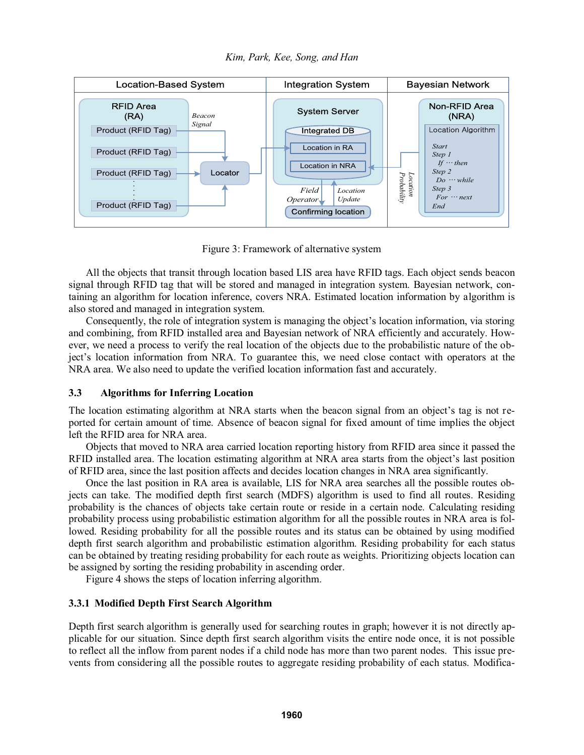



Figure 3: Framework of alternative system

All the objects that transit through location based LIS area have RFID tags. Each object sends beacon signal through RFID tag that will be stored and managed in integration system. Bayesian network, containing an algorithm for location inference, covers NRA. Estimated location information by algorithm is also stored and managed in integration system.

Consequently, the role of integration system is managing the object's location information, via storing and combining, from RFID installed area and Bayesian network of NRA efficiently and accurately. However, we need a process to verify the real location of the objects due to the probabilistic nature of the ob ject's location information from NRA. To guarantee this, we need close contact with operators at the NRA area. We also need to update the verified location information fast and accurately.

# **3.3 Algorithms for Inferring Location**

The location estimating algorithm at NRA starts when the beacon signal from an object's tag is not reported for certain amount of time. Absence of beacon signal for fixed amount of time implies the object left the RFID area for NRA area.

Objects that moved to NRA area carried location reporting history from RFID area since it passed the RFID installed area. The location estimating algorithm at NRA area starts from the object's last position of RFID area, since the last position affects and decides location changes in NRA area significantly.

Once the last position in RA area is available, LIS for NRA area searches all the possible routes objects can take. The modified depth first search (MDFS) algorithm is used to find all routes. Residing probability is the chances of objects take certain route or reside in a certain node. Calculating residing probability process using probabilistic estimation algorithm for all the possible routes in NRA area is followed. Residing probability for all the possible routes and its status can be obtained by using modified depth first search algorithm and probabilistic estimation algorithm. Residing probability for each status can be obtained by treating residing probability for each route as weights. Prioritizing objects location can be assigned by sorting the residing probability in ascending order.

Figure 4 shows the steps of location inferring algorithm.

# **3.3.1 Modified Depth First Search Algorithm**

Depth first search algorithm is generally used for searching routes in graph; however it is not directly applicable for our situation. Since depth first search algorithm visits the entire node once, it is not possible to reflect all the inflow from parent nodes if a child node has more than two parent nodes. This issue prevents from considering all the possible routes to aggregate residing probability of each status. Modifica-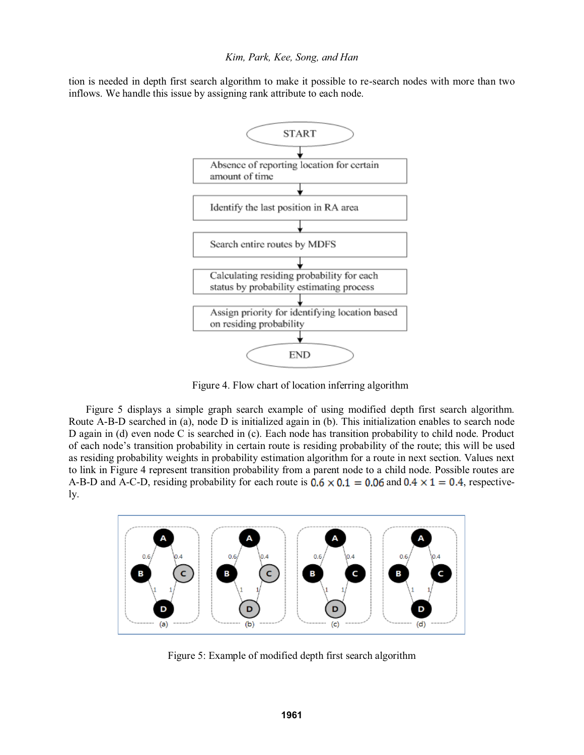### *Kim, Park, Kee, Song, and Han*

tion is needed in depth first search algorithm to make it possible to re-search nodes with more than two inflows. We handle this issue by assigning rank attribute to each node.



Figure 4. Flow chart of location inferring algorithm

 Figure 5 displays a simple graph search example of using modified depth first search algorithm. Route A-B-D searched in (a), node D is initialized again in (b). This initialization enables to search node D again in (d) even node C is searched in (c). Each node has transition probability to child node. Product of each node's transition probability in certain route is residing probability of the route; this will be used as residing probability weights in probability estimation algorithm for a route in next section. Values next to link in Figure 4 represent transition probability from a parent node to a child node. Possible routes are A-B-D and A-C-D, residing probability for each route is  $0.6 \times 0.1 = 0.06$  and  $0.4 \times 1 = 0.4$ , respectively.



Figure 5: Example of modified depth first search algorithm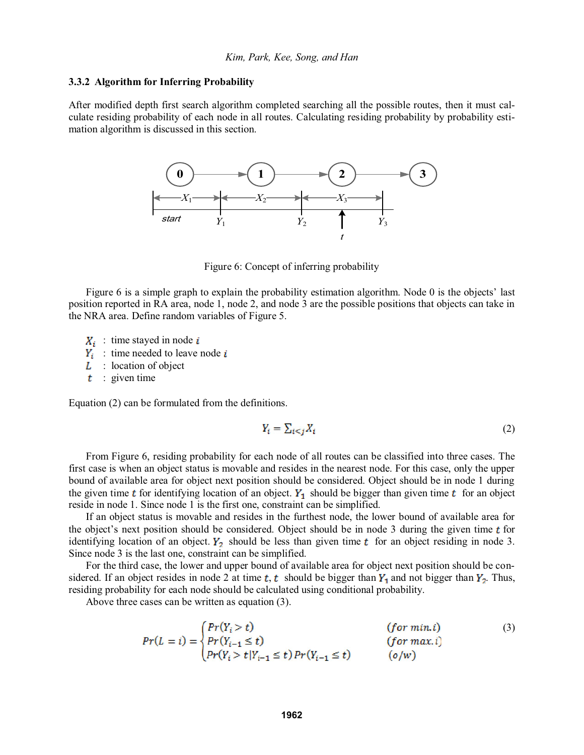#### **3.3.2 Algorithm for Inferring Probability**

After modified depth first search algorithm completed searching all the possible routes, then it must calculate residing probability of each node in all routes. Calculating residing probability by probability estimation algorithm is discussed in this section.



Figure 6: Concept of inferring probability

Figure 6 is a simple graph to explain the probability estimation algorithm. Node 0 is the objects' last position reported in RA area, node 1, node 2, and node 3 are the possible positions that objects can take in the NRA area. Define random variables of Figure 5.

- $X_i$ : time stayed in node  $i$
- $Y_i$  time needed to leave node i
- $L$ : location of object
- $t$  : given time

Equation (2) can be formulated from the definitions.

$$
Y_i = \sum_{i < j} X_i \tag{2}
$$

From Figure 6, residing probability for each node of all routes can be classified into three cases. The first case is when an object status is movable and resides in the nearest node. For this case, only the upper bound of available area for object next position should be considered. Object should be in node 1 during the given time **t** for identifying location of an object.  $Y_1$  should be bigger than given time **t** for an object reside in node 1. Since node 1 is the first one, constraint can be simplified.

If an object status is movable and resides in the furthest node, the lower bound of available area for the object's next position should be considered. Object should be in node 3 during the given time  $t$  for identifying location of an object.  $Y_2$  should be less than given time  $t$  for an object residing in node 3. Since node 3 is the last one, constraint can be simplified.

For the third case, the lower and upper bound of available area for object next position should be con-j sidered. If an object resides in node 2 at time  $t, t$  should be bigger than  $Y_1$  and not bigger than  $Y_2$ . Thus, residing probability for each node should be calculated using conditional probability.

Above three cases can be written as equation (3).

$$
Pr(L = i) = \begin{cases} Pr(Y_i > t) & (for min.i) \\ Pr(Y_{i-1} \le t) & (for max.i) \\ Pr(Y_i > t | Y_{i-1} \le t) Pr(Y_{i-1} \le t) & (o/w) \end{cases}
$$
(3)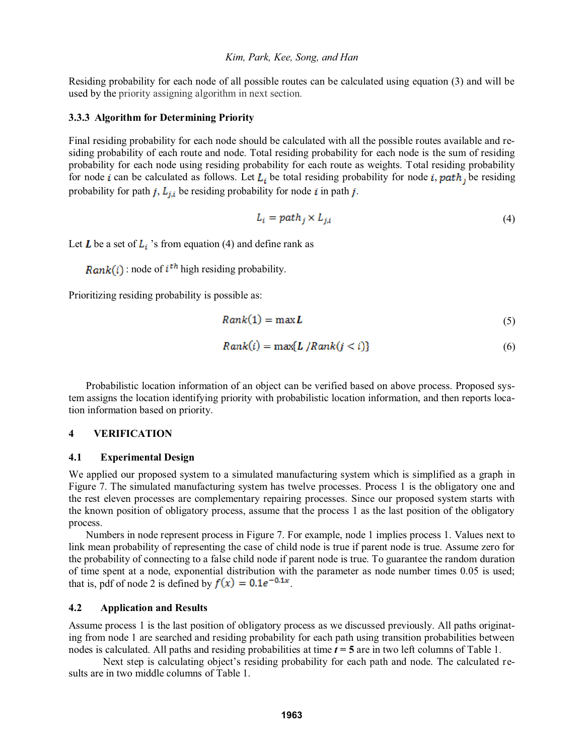Residing probability for each node of all possible routes can be calculated using equation (3) and will be used by the priority assigning algorithm in next section.

## **3.3.3 Algorithm for Determining Priority**

Final residing probability for each node should be calculated with all the possible routes available and residing probability of each route and node. Total residing probability for each node is the sum of residing probability for each node using residing probability for each route as weights. Total residing probability for node *i* can be calculated as follows. Let  $L_i$  be total residing probability for node *i*, path, be residing probability for path j,  $L_{j,i}$  be residing probability for node i in path j.

$$
L_i = path_j \times L_{j,i} \tag{4}
$$

Let **L** be a set of  $L_i$  's from equation (4) and define rank as

 $Rank(i)$ : node of  $i^{th}$  high residing probability.

Prioritizing residing probability is possible as:

$$
Rank(1) = \max L \tag{5}
$$

$$
Rank(i) = \max\{L/Rank(j < i)\}\tag{6}
$$

Probabilistic location information of an object can be verified based on above process. Proposed system assigns the location identifying priority with probabilistic location information, and then reports location information based on priority.

## **4 VERIFICATION**

## **4.1 Experimental Design**

We applied our proposed system to a simulated manufacturing system which is simplified as a graph in Figure 7. The simulated manufacturing system has twelve processes. Process 1 is the obligatory one and the rest eleven processes are complementary repairing processes. Since our proposed system starts with the known position of obligatory process, assume that the process 1 as the last position of the obligatory process.

Numbers in node represent process in Figure 7. For example, node 1 implies process 1. Values next to link mean probability of representing the case of child node is true if parent node is true. Assume zero for the probability of connecting to a false child node if parent node is true. To guarantee the random duration of time spent at a node, exponential distribution with the parameter as node number times 0.05 is used; that is, pdf of node 2 is defined by  $f(x) = 0.1e^{-0.1x}$ .

# **4.2 Application and Results**

Assume process 1 is the last position of obligatory process as we discussed previously. All paths originating from node 1 are searched and residing probability for each path using transition probabilities between nodes is calculated. All paths and residing probabilities at time *t* **= 5** are in two left columns of Table 1.

Next step is calculating object's residing probability for each path and node. The calculated results are in two middle columns of Table 1.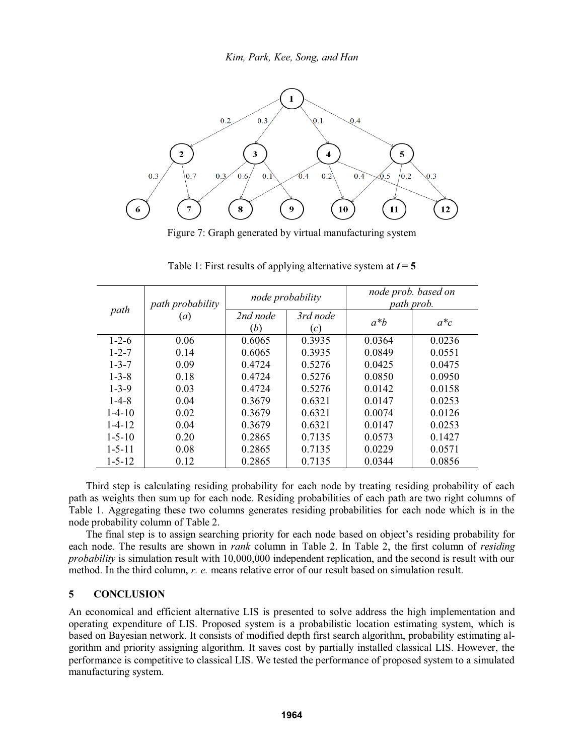

Figure 7: Graph generated by virtual manufacturing system

| path         | path probability<br>(a) | node probability |                 | node prob. based on<br>path prob. |        |
|--------------|-------------------------|------------------|-----------------|-----------------------------------|--------|
|              |                         | 2nd node<br>(b)  | 3rd node<br>(c) | $a^*b$                            | $a^*c$ |
| $1 - 2 - 6$  | 0.06                    | 0.6065           | 0.3935          | 0.0364                            | 0.0236 |
| $1 - 2 - 7$  | 0.14                    | 0.6065           | 0.3935          | 0.0849                            | 0.0551 |
| $1 - 3 - 7$  | 0.09                    | 0.4724           | 0.5276          | 0.0425                            | 0.0475 |
| $1 - 3 - 8$  | 0.18                    | 0.4724           | 0.5276          | 0.0850                            | 0.0950 |
| $1 - 3 - 9$  | 0.03                    | 0.4724           | 0.5276          | 0.0142                            | 0.0158 |
| $1 - 4 - 8$  | 0.04                    | 0.3679           | 0.6321          | 0.0147                            | 0.0253 |
| $1-4-10$     | 0.02                    | 0.3679           | 0.6321          | 0.0074                            | 0.0126 |
| $1 - 4 - 12$ | 0.04                    | 0.3679           | 0.6321          | 0.0147                            | 0.0253 |
| $1 - 5 - 10$ | 0.20                    | 0.2865           | 0.7135          | 0.0573                            | 0.1427 |
| $1 - 5 - 11$ | 0.08                    | 0.2865           | 0.7135          | 0.0229                            | 0.0571 |
| $1 - 5 - 12$ | 0.12                    | 0.2865           | 0.7135          | 0.0344                            | 0.0856 |

Table 1: First results of applying alternative system at  $t = 5$ 

Third step is calculating residing probability for each node by treating residing probability of each path as weights then sum up for each node. Residing probabilities of each path are two right columns of Table 1. Aggregating these two columns generates residing probabilities for each node which is in the node probability column of Table 2.

The final step is to assign searching priority for each node based on object's residing probability for each node. The results are shown in *rank* column in Table 2. In Table 2, the first column of *residing probability* is simulation result with 10,000,000 independent replication, and the second is result with our method. In the third column, *r. e.* means relative error of our result based on simulation result.

# **5 CONCLUSION**

An economical and efficient alternative LIS is presented to solve address the high implementation and operating expenditure of LIS. Proposed system is a probabilistic location estimating system, which is based on Bayesian network. It consists of modified depth first search algorithm, probability estimating algorithm and priority assigning algorithm. It saves cost by partially installed classical LIS. However, the performance is competitive to classical LIS. We tested the performance of proposed system to a simulated manufacturing system.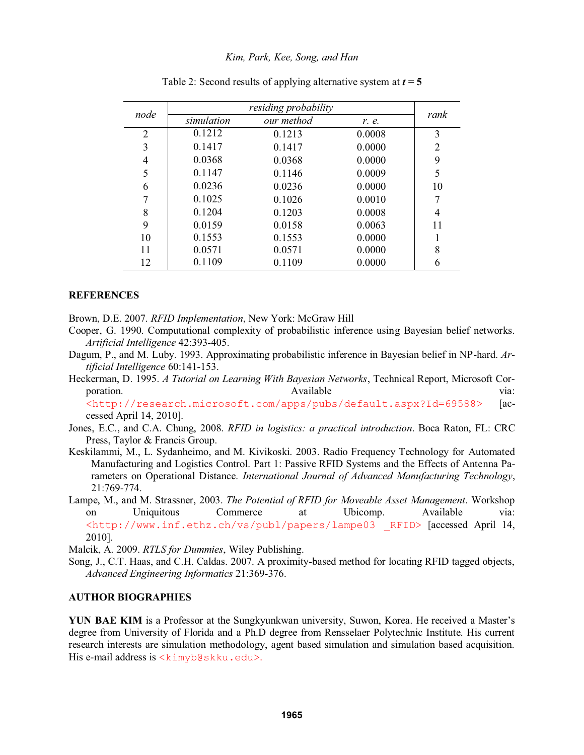| node           |            |            |        |      |
|----------------|------------|------------|--------|------|
|                | simulation | our method | r. e.  | rank |
| $\overline{2}$ | 0.1212     | 0.1213     | 0.0008 | 3    |
| 3              | 0.1417     | 0.1417     | 0.0000 | 2    |
| 4              | 0.0368     | 0.0368     | 0.0000 | 9    |
| 5              | 0.1147     | 0.1146     | 0.0009 | 5    |
| 6              | 0.0236     | 0.0236     | 0.0000 | 10   |
|                | 0.1025     | 0.1026     | 0.0010 |      |
| 8              | 0.1204     | 0.1203     | 0.0008 | 4    |
| 9              | 0.0159     | 0.0158     | 0.0063 | 11   |
| 10             | 0.1553     | 0.1553     | 0.0000 |      |
| 11             | 0.0571     | 0.0571     | 0.0000 | 8    |
| 12             | 0.1109     | 0.1109     | 0.0000 | 6    |

Table 2: Second results of applying alternative system at  $t = 5$ 

## **REFERENCES**

Brown, D.E. 2007. *RFID Implementation*, New York: McGraw Hill

- Cooper, G. 1990. Computational complexity of probabilistic inference using Bayesian belief networks. *Artificial Intelligence* 42:393-405.
- Dagum, P., and M. Luby. 1993. Approximating probabilistic inference in Bayesian belief in NP-hard. *Artificial Intelligence* 60:141-153.
- Heckerman, D. 1995. *A Tutorial on Learning With Bayesian Networks*, Technical Report, Microsoft Corporation. When the contract of the Available via: via:

<http://research.microsoft.com/apps/pubs/default.aspx?Id=69588> [accessed April 14, 2010].

- Jones, E.C., and C.A. Chung, 2008. *RFID in logistics: a practical introduction*. Boca Raton, FL: CRC Press, Taylor & Francis Group.
- Keskilammi, M., L. Sydanheimo, and M. Kivikoski. 2003. Radio Frequency Technology for Automated Manufacturing and Logistics Control. Part 1: Passive RFID Systems and the Effects of Antenna Parameters on Operational Distance. *International Journal of Advanced Manufacturing Technology*, 21:769-774.
- Lampe, M., and M. Strassner, 2003. *The Potential of RFID for Moveable Asset Management*. Workshop on Uniquitous Commerce at Ubicomp. Available via: <http://www.inf.ethz.ch/vs/publ/papers/lampe03 \_RFID> [accessed April 14, 2010].

Malcik, A. 2009. *RTLS for Dummies*, Wiley Publishing.

Song, J., C.T. Haas, and C.H. Caldas. 2007. A proximity-based method for locating RFID tagged objects, *Advanced Engineering Informatics* 21:369-376.

# **AUTHOR BIOGRAPHIES**

YUN BAE KIM is a Professor at the Sungkyunkwan university, Suwon, Korea. He received a Master's degree from University of Florida and a Ph.D degree from Rensselaer Polytechnic Institute. His current research interests are simulation methodology, agent based simulation and simulation based acquisition. His e-mail address is  $\langle$ kimyb@skku.edu>.